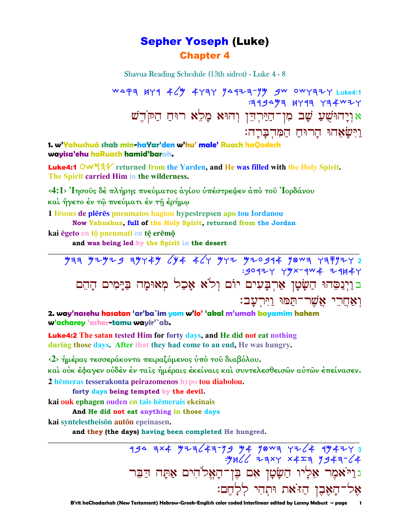# **Sepher Yoseph (Luke) Chapter 4**

Shavua Reading Schedule (13th sidrot) - Luke 4 - 8

WAPA HYA 46 447AY JAA77-JY 9W OWYA7Y Luke4:1  $4994$   $994$   $1191$ אַוְיָהוּשֻׁעַ שָׁב מִן־הַיַּרְהֵן וְהוּא מָלֵא רוּחַ הַקֹּהֵשׁ <u>וישאחו הרוח המהברה:</u>

1. w'Yahushuà shab min-haYar'den w'hu' male' Ruach haQodesh wayisa'ehu haRuach hamid'barah.

**Luke4:1 OW33** returned from the Yarden, and He was filled with the Holy Spirit. The Spirit carried Him in the wilderness.

<4:1> Ίησους δέ πλήρης πνεύματος αγίου υπέστρεψεν από του Ίορδάνου

και ήγετο έν τω πνεύματι έν τη έρήμω

1 Iesous de pleres pneumatos hagiou hypestrepsen apo tou Iordanou

Now Yahushua, full of the Holy Spirit, returned from the Jordan

kai ēgeto en tō pneumati en tē erēmō

and was being led by the Spirit in the desert

2. way'nasehu hasatan 'ar'ba`im yom w'lo' 'akal m'umah bayamim hahem w'acharey 'asher-tamu wayir'`ab.

**Luke4:2** The satan tested Him for forty days, and He did not eat nothing during those days. After that they had come to an end, He was hungry.

<2> ήμέρας τεσσεράκοντα πειραζόμενος υπό του διαβόλου.

καὶ οὐκ ἔφαγεν οὐδὲν ἐν ταῖς ἡμέραις ἐκείναις καὶ συντελεσθεισῶν αὐτῶν ἐπείνασεν.

2 hēmeras tesserakonta peirazomenos hypo tou diabolou.

forty days being tempted by the devil.

kai ouk ephagen ouden en tais hēmerais ekeinais

And He did not eat anything in those days

kai syntelestheison auton epeinasen.

and they (the days) having been completed He hungred.

194 7x4 9za 43-79 94 90 94 34 494273<br>3)-3447 744x 4x4 3)Ht: .<br>גַוַיֹּאמֶר אֵלְיוֹ הַשָּׂטָן אִם בֶּן־הָאֱלֹהִים אַתָּה דַבֵּר אָל־הָאָבֵן הַזֹּאת וּתִהִי לְלָחֵם: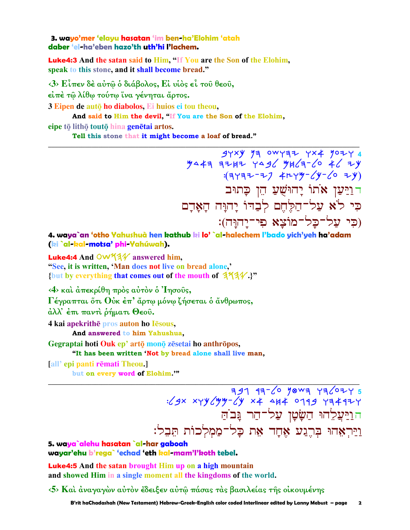3. wavo'mer 'elavu hasatan 'im ben-ha'Elohim 'atah daber 'el-ha'eben hazo'th uth'hi l'Iachem.

**Luke4:3** And the satan said to Him, "If You are the Son of the Elohim, speak to this stone, and it shall become bread."

 $\langle 3 \rangle$  Είπεν δέ αύτω ο διάβολος, Εί νίος εί του θεου.

είπέ τω λίθω τούτω ίνα γένηται άρτος.

3 Eipen de autō ho diabolos. Ei huios ei tou theou.

And said to Him the devil, "If You are the Son of the Elohim,

eipe tō lithō toutō hina genētai artos.

Tell this stone that it might become a loaf of bread."

 $74 \times 9$  y 14 0WYAZ YX4 907Y4<br>MA4A A7-F)NW y 46 77 7444 A76  $(3197 - 7)$   $4\mu$   $4\mu$   $4\mu$   $(40 - 6)$   $7\mu$ דוַיַּעַן אֹתוֹ יָחוּשָׁעַ הֵן כָּתוּב כִּי לֹא עֲל־הַלֶּחֵם לְבָדוֹ יַהוַּה הַאֲדָם (כי על־כל־מוֹצא פי־יַחוּח):

4. waya`an 'otho Yahushuà hen kathub ki lo'`al-halechem l'bado yich'yeh ha'adam (ki `al-kal-motsa' phi-Yahúwah).

**Luke4:4** And  $\overline{OW44}$  answered him. "See, it is written, 'Man does not live on bread alone,' {but by everything that comes out of the mouth of  $344.$ ?"

<4> και άπεκρίθη πρός αύτον ό 'Iησούς,

Γέγραπται ότι Ούκ έπ' άρτω μόνω ζήσεται ο άνθρωπος,

άλλ' έπι παντι ρήματι Θεού.

4 kai apekrithe pros auton ho Iesous,

And answered to him Yahushua,

Gegraptai hoti Ouk ep' artō monō zēsetai ho anthrōpos,

"It has been written 'Not by bread alone shall live man,

[all' epi panti rēmati Theou.]

but on every word of Elohim."

 $797$   $197$   $-6$   $98$   $-79$   $-79$   $-6$   $-199$   $-79$   $-6$   $-199$   $-199$   $-199$   $-199$   $-199$   $-199$ הוַיַּעֲלֶהוּ הַשַּׂטַן עַל־הַר גַּב<sup>ּ</sup>הַ וַיַּרְאָהוּ בְּרֶגַע אֶחָד אֶת כַּל־מַמִלְכוֹת תּבל:

5. waya`alehu hasatan `al-har gaboah wayar'ehu b'rega` 'echad 'eth kal-mam'l'koth tebel.

**Luke4:5** And the satan brought Him up on a high mountain and showed Him in a single moment all the kingdoms of the world.

 $\langle 5 \rangle$  Και άναγαγών αύτον έδειξεν αύτω πάσας τας βασιλείας της οικουμένης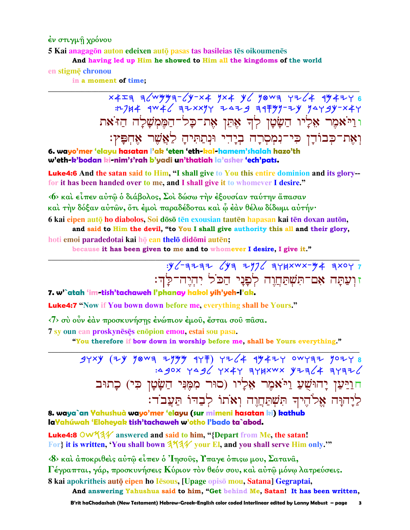έν στιγμή χρόνου

5 Kai anagagōn auton edeixen autō pasas tas basileias tēs oikoumenēs

And having led up Him he showed to Him all the kingdoms of the world

en stigme chronou

in a moment of time:

 $x4=9$  a/wyya-/y-x4 yx4 y/ yowa yz/4 944246 :12/14 4W46 32xxyy 2429 347yy-2y yaygy-x4y וניאמר אליו השָטָן לִדְ אָתֵן אַת־כַל־הַמֵּמִשָּׁלַה הַזֹּאת וְאֵת־כִּבוֹדֵן כִּי־נִמְסְרָה בְיָדִי וּנְתַתִּיהַ לַאֲשֶׁר אֶחְפָּץִ:

6. wayo'mer 'elayu hasatan l'ak 'eten 'eth-kal-hamem'shalah hazo'th w'eth-k'bodan ki-nim's'rah b'yadi un'thatiah la'asher 'ech'pats.

Luke4:6 And the satan said to Him, "I shall give to You this entire dominion and its glory-for it has been handed over to me, and I shall give it to whomever I desire."

«6» και είπεν αύτῶ ὁ διάβολος, Σοι δώσω την έξουσίαν ταύτην ἅπασαν καὶ τὴν δόξαν αὐτῶν, ὅτι ἐμοὶ παραδέδοται καὶ ὧ ἐὰν θέλω δίδωμι αὐτήν·

6 kai eipen autō ho diabolos. Soi dōsō tēn exousian tautēn hapasan kai tēn doxan autōn. and said to Him the devil, "to You I shall give authority this all and their glory, hoti emoi paradedotai kai hō ean thelō didōmi autēn;

because it has been given to me and to whomever I desire, I give it."

 $y$  /-3232  $(y3 71)$  348xwx-44 3xoy 7 זוְעַתָּה אִם־תִּשְׁתַּחֲוֶה לְפָנֵי הַכֹּל יִהְיֵה־לַּהִ:

### 7. w'`atah 'im-tish'tachaweh l'phanay hakol yih'yeh-l'ak.

Luke4:7 "Now if You bown down before me, everything shall be Yours."

<7> σύ οὖν έαν προσκυνήσης ένώπιον έμου, έσται σου πασα.

7 sy oun ean proskyneses enopion emou, estai sou pasa.

"You therefore if bow down in worship before me, shall be Yours everything."

 $37xy$  (2) yowa 214 177)  $72/4$  17427 0WYAZ 10278 :4 90X YA9( YX4Y 3YHXWX YZZ(4 3Y3Z( חוַיַּעַן יָהוּשָׁעַ וַיֹּאמֶר אֶלַיו (סוּר מְמֶנִי הַשָּׂטָן כִּי) כָתוּב לַיַהוָּה אֱלֹהֵיךָ תִּשְׁתַּחֲוָה וְאֹתוֹ לִבְדּוֹ תַּעֲבֹד:

8. waya`an Yahushuà wayo'mer 'elayu (sur mimeni hasatan ki) kathub laYahúwah 'Eloheyak tish'tachaweh w'otho l'bado ta`abod.

**Luke4:8** OW  $4\frac{1}{4}$  answered and said to him, "{Depart from Me, the satan! For} it is written, You shall bown 373/ your El, and you shall serve Him only."

«8» και άποκριθείς αύτώ είπεν ο Ίησούς, Υπαγε όπιςω μου, Σατανα,

Γέγραπται, γάρ, προσκυνήσεις Κύριον τον θεόν σου, και αύτω μόνω λατρεύσεις.

8 kai apokritheis autō eipen ho Iesous, [Upage opisō mou, Satana] Gegraptai,

And answering Yahushua said to him, "Get behind Me, Satan! It has been written,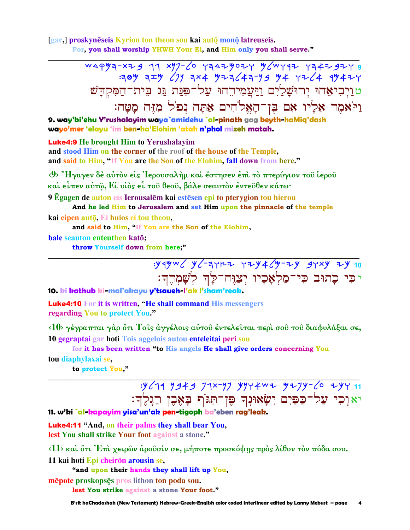[gar,] proskynēseis Kyrion ton theon sou kai autō monō latreuseis. For, you shall worship YHWH Your El, and Him only you shall serve."

> WAPY3-XZ9 77 XY7-60 Y3AZY0ZY Y6WY9Z Y34Z9ZY 9 **389 3エツ (1) 3×4 ツマヨ (キヨ-リタ ツキ ソマ (キ イツキマ**ヤ <u>טוַיִּבְיאָהוּ יִרוּשַׁלֵיִם וַיַּעֲמִידֵהוּ עַל־פִּנַּת גַּג בִּית־הַמְקִדַּשׁ</u> וַיֹּאמֶר אָלַיו אָם בֵּוְ־הַאֵלֹהִים אַתַּה נִפֹּל מָזֶּה מַטַּה:

9. way'bi'ehu Y'rushalayim waya`amidehu `al-pinath gag beyth-haMia'dash wayo'mer 'elayu 'im ben-ha'Elohim 'atah n'phol mizeh matah.

### **Luke4:9** He brought Him to Yerushalayim

and stood Him on the corner of the roof of the house of the Temple, and said to Him, "If You are the Son of the Elohim, fall down from here."

<9> "Ηγαγεν δέ αύτον είς 'Ιερουσαλήμ και έστησεν έπι το πτερύγιον του ίερου καὶ εἶπεν αὐτῷ, Εἰ υἱὸς εἶ τοῦ θεοῦ, βάλε σεαυτὸν ἐντεῦθεν κάτω·

9 Egagen de auton eis Ierousalēm kai estēsen epi to pterygion tou hierou And he led Him to Jerusalem and set Him upon the pinnacle of the temple

kai eipen autō. Ei huios ei tou theou,

and said to Him, "If You are the Son of the Elohim,

bale seauton enteuthen katō;

throw Yourself down from here:"

:yqyw < y <- ayrz yzy + <w></w> <w></w> <w <w 10 יכִּי כָתוּב כִּי־מַלְאָּכָיו יִצַוֵּה־לַַןְד לְשָׁמְרֵךְ:

#### 10. ki kathub ki-mal'akayu y'tsaueh-l'ak l'sham'reak

**Luke4:10** For it is written, "He shall command His messengers regarding You to protect You."

<10> γέγραπται γάρ ότι Τοίς άγγέλοις αύτου έντελείται περί σου του διαφυλάξαι σε, 10 gegraptai gar hoti Tois aggelois autou enteleitai peri sou

for it has been written "to His angels He shall give orders concerning You

#### tou diaphylaxai se,

to protect You,"

:y 679 7343 77x-77 y774w2 y27y-60 2y7 11 יא וִכִי עַל־כַפַּיִם יִשָׂאוּנִךְ פֵּן־תִּגֹּף בָאֶבֶן רַגְלֶךְ:

11. w'ki `al-kapayim yisa'un'ak pen-tigoph ba'eben rag'leak.

**Luke4:11 "And, on their palms they shall bear You,** lest You shall strike Your foot against a stone."

 $\langle 11 \rangle$  και ότι Έπι χειρών άρουσίν σε, μήποτε προσκόψης προς λίθον τον πόδα σου.

11 kai hoti Epi cheirōn arousin se,

"and upon their hands they shall lift up You,

mēpote proskopsēs pros lithon ton poda sou.

lest You strike against a stone Your foot."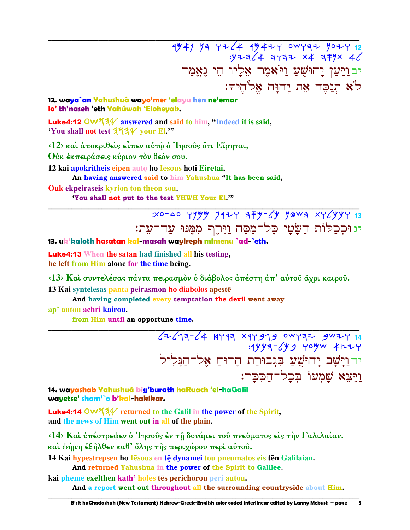1949 93 4264 49424 0WY32 9024 12  $y = \frac{1}{4}$  ayaz x4 a Fyx 4 יבּוַיַּעַן יָהוּשֻׁעַ וַיֹּאמֶר אֵלְיוֹ הֵן גֵאֵמַר לֹא תִנַסֵּה אֶת יַהוַּה אֱלֹהֵיךָ:

12. waya`an Yahushuà wayo'mer 'elayu hen ne'emar lo' th'naseh 'eth Yahúwah 'Eloheyak.

**Luke4:12** OW $44$  answered and said to him, "Indeed it is said, 'You shall not test 3731/ your El."

 $\langle 12 \rangle$  και άποκριθείς είπεν αύτω ο Ίησους ότι Είρηται,

Ούκ έκπειράσεις κύριον τον θεόν σου.

12 kai apokritheis eipen autō ho Iēsous hoti Eirētai,

An having answered said to him Yahushua "It has been said,

**Ouk ekpeiraseis kyrion ton theon sou.** 

'You shall not put to the test YHWH Your El.""

 $330 - 40$  yyyy  $797$  3 = y / yowa xy /yyy 3 יג וּכִכֲלּוֹת הַשָּׂטָן כָּל־מַסָּה וַיִּרֶף מִמֶּנּוּ עַד־עָת:

13. uk'kaloth hasatan kal-masah wayireph mimenu `ad-`eth.

**Luke4:13** When the satan had finished all his testing, he left from Him alone for the time being.

<13> Καί συντελέσας πάντα πειρασμόν ό διάβολος άπέστη άπ' αύτου άχρι καιρου.

13 Kai syntelesas panta peirasmon ho diabolos apestē

And having completed every temptation the devil went away

ap' autou achri kairou.

from Him until an opportune time.

 $62/19-64$  HY99 x9Y979 0WY972 9W7Y 14  $:4$ yya- $\sqrt{y}$ g yoyw  $4$ rzy יד וַיָּשָׁב יָהוּשֻׁעַ בִּגְבוּרַת הַרוּחַ אֵל־הַגֵּלִיל ויצא שמעו בכל־הככר:

5

14. wayashab Yahushuà big'burath haRuach 'el-haGalil wayetse' sham'`o b'kal-hakikar.

**Luke4:14 OW534** returned to the Galil in the power of the Spirit, and the news of Him went out in all of the plain.

<14> Και υπέστρεψεν ο Ίησους έν τη δυνάμει του πνεύματος είς την Γαλιλαίαν. και φήμη έξηλθεν καθ' όλης της περιχώρου περι αύτου.

14 Kai hypestrepsen ho Iesous en te dynamei tou pneumatos eis ten Galilaian.

And returned Yahushua in the power of the Spirit to Galilee.

kai phēmē exēlthen kath' holēs tēs perichōrou peri autou.

And a report went out throughout all the surrounding countryside about Him.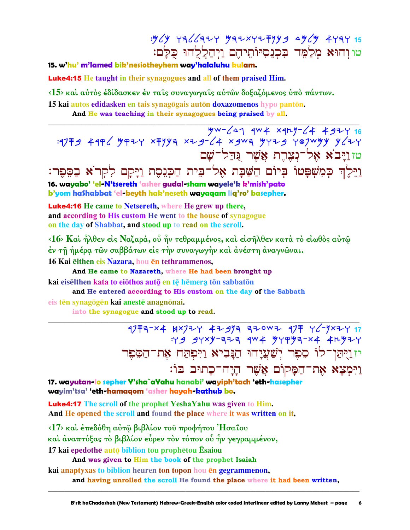: y (y  $Y = \frac{1}{2}$  /  $\frac{1}{2}$  /  $\frac{1}{2}$  /  $\frac{1}{2}$  /  $\frac{1}{2}$  /  $\frac{1}{2}$  /  $\frac{1}{2}$  /  $\frac{1}{2}$  /  $\frac{1}{2}$  /  $\frac{1}{2}$  /  $\frac{1}{2}$  /  $\frac{1}{2}$  /  $\frac{1}{2}$  /  $\frac{1}{2}$  /  $\frac{1}{2}$  /  $\frac{1}{2}$  /  $\frac{1}{2}$  /  $\frac{1}{2}$ טווהוא מִלַמֶּד בִּכְנֵסְיּוֹתֵיהֶם וַיִּהַלֵלְהוּ כִּלַּם:

### 15. w'hu' m'lamed bik'nesiotheyhem way'halaluhu kulam.

**Luke4:15** He taught in their synagogues and all of them praised Him.

<15> και αύτος έδίδασκεν έν ταις συναγωγαις αύτων δοξαζόμενος υπό πάντων.

15 kai autos edidasken en tais synagõgais autōn doxazomenos hypo pantōn.

And He was teaching in their synagogues being praised by all.

4w-641 4w 4 x 4ry-64 4 924 16  $19779$  4996 49924 x794 x29-64 x9wa 4429 487w44 467 טזויבא אל־נצרת אַשׁר גּדּל־שׁם

נֹיֵלֶךְ כְּמִשְׁפָּטוֹ בְּיוֹם הַשַּׁבָּת אֶל־בִּית הַכְּגֵסֶת וַיָּקָם לִקְרֹא בַסֵּפֶר: 16. wayabo' 'el-N'tsereth 'asher gudal-sham wayele'k k'mish'pato b'yom hashabbat 'el-beyth hak'neseth wayaqam liq'ro' basepher.

**Luke4:16** He came to Netsereth, where He grew up there, and according to His custom He went to the house of synagogue on the day of Shabbat, and stood up to read on the scroll.

<16> Και ήλθεν είς Ναζαρά, οὗ ήν τεθραμμένος, και είσηλθεν κατα το είωθος αύτώ έν τῆ ἡμέρα τῶν σαββάτων εἰς τὴν συναγωγὴν καὶ ἀνέστη ἀναγνῶναι.

16 Kai elthen eis Nazara, hou en tethrammenos,

And He came to Nazareth, where He had been brought up kai eisēlthen kata to eiōthos autō en tē hēmera tōn sabbatōn

and He entered according to His custom on the day of the Sabbath

eis tēn synagögēn kai anestē anagnonai.

into the synagogue and stood up to read.

17 Fa-x4 Hx7 + 4 + 47 3 + 40 × 47 + 46-7 × 47  $79$  gyxy-aza qw4 gypga-x4 4rgzy יז וַיִּתַּן־לוֹ סֶפֶר יִשַׁעֲיָהוּ הַנַּבִיא וַיִּפִתַּח אֶת־הַסֶּפֶר <u>ויִמְצָא אֶת־הַמַּקוֹם אֲשֶׁר הַיַח־כַתוּב בּוֹ:</u>

17. wayutan-lo sepher Y'sha`aYahu hanabi' wayiph'tach 'eth-hasepher wayim'tsa' 'eth-hamagom 'asher hayah-kathub bo.

**Luke4:17** The scroll of the prophet YeshaYahu was given to Him. And He opened the scroll and found the place where it was written on it.

<17> και έπεδόθη αύτώ βιβλίον του προφήτου 'Ησαΐου και άναπτύξας το βιβλίον εύρεν τον τόπον ού ήν γεγραμμένον, 17 kai epedothē autō biblion tou prophētou Ēsaiou

And was given to Him the book of the prophet Isaiah

kai anaptyxas to biblion heuren ton topon hou en gegrammenon,

and having unrolled the scroll He found the place where it had been written,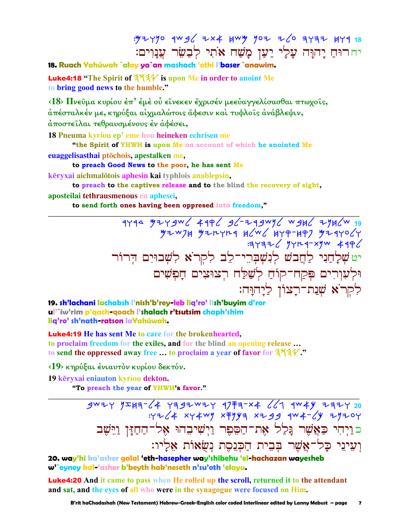: y 2 y y o 4w g L 2 x 4 y w y y o 2 2 6 3 y 3 2 4 4 7 9 18 יחרוּחַ יָהוָּה עָלִי יַעַן מָשַׁח אֹתִי לְבַשֵּׂר עֲנָוִים:

18. Ruach Yahúwah `alay ya`an mashach 'othi l'baser `anawim.

**Luke4:18** "The Spirit of  $3\frac{4}{4}$ " is upon Me in order to anoint Me to bring good news to the humble."

 $\langle 18 \rangle$  Πνεῦμα κυρίου ἐπ' ἐμὲ οὗ εἴνεκεν ἔχρισέν μεεὐαγγελίσασθαι πτωχοῖς, άπέσταλκέν με, κηρύξαι αίχμαλώτοις ἄφεσιν καὶ τυφλοῖς ἀνάβλεψιν, άποστείλαι τεθραυσμένους έν άφέσει,

18 Pneuma kyriou ep' eme hou heineken echrisen me

"the Spirit of YHWH is upon Me on account of which he anointed Me

euaggelisasthai ptōchois, apestalken me,

to preach Good News to the poor, he has sent Me

kēryxai aichmalotois aphesin kai typhlois anablepsin,

to preach to the captives release and to the blind the recovery of sight, aposteilai tethrausmenous en aphesei.

to send forth ones having been oppresed into freedom,"

1794 7746 7447 7457 7466 7474 7486 7486<br>4794 744 7446 7467 7464 1446 7446 7446 יט שְׁלָחֲנִי לַחֲבֹשׁ לְנִשְׁבְרֵי־לֵב לִקְרֹא לִשָּׁבוּיִם הִרוֹר וּלְעִוְרִים פִּקַח־קוֹחַ לְשַׁלַּח רִצוּצִים חָפִשִּׁים לִקְרֹא שָׁנַת־רַצוֹן לַיַהוַּה:

19. sh'lachani lachabsh l'nish'b'rey-leb lig'ro' lish'buyim d'ror ul'`iw'rim p'qach-qoach l'shalach r'tsutsim chaph'shim lig'ro' sh'nath-ratson laYahúwah.

**Luke4:19** He has sent Me to care for the brokenhearted. to proclaim freedom for the exiles, and for the blind an opening release... to send the oppressed away free ... to proclaim a year of favor for 3734."

<19> κηρύξαι ένιαυτόν κυρίου δεκτόν.

19 kēryxai eniauton kyriou dekton.

"To preach the year of YHWH's favor."

 $3^{w7}$   $7^{w7}$   $7^{w7}$   $7^{w7}$   $7^{w7}$   $7^{w7}$   $7^{w7}$   $7^{w7}$   $7^{w7}$   $7^{w7}$   $7^{w7}$   $7^{w7}$   $7^{w7}$   $7^{w7}$   $7^{w7}$   $7^{w7}$   $7^{w7}$   $7^{w7}$   $7^{w7}$   $7^{w7}$   $7^{w7}$   $7^{w7}$   $7^{w7}$   $7^{w7}$   $7^{w7}$   $7^{w7}$   $7^{w7}$   $7^{w7$ כויהי כַּאֲשֶׁר גַּלַל אֶת־הַסֶּפֶר וַיִשִׁיבָהוּ אָל־הַחַזַּן וַיֵּשֶׁב וִעִינֵי כַּל־אֱשֶׁר בִּבִית הַכִּנָסֶת נִשְׂאוֹת אֶלַיו:

20. way'hi ka'asher galal 'eth-hasepher way'shibehu 'el-hachazan wayesheb w'`eyney kal-'asher b'beyth hak'neseth n'su'oth 'elayu.

**Luke4:20** And it came to pass when He rolled up the scroll, returned it to the attendant and sat, and the eves of all who were in the synagogue were focused on Him.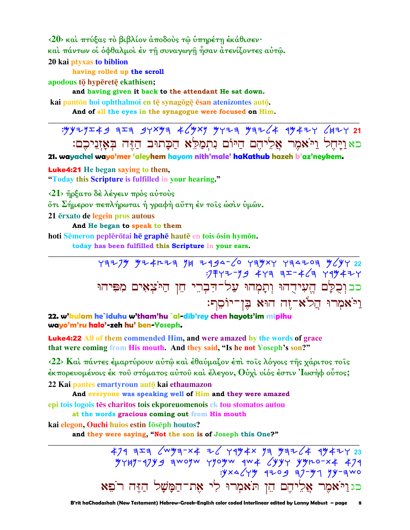<20> και πτύξας το βιβλίον άποδους τω υπηρέτη εκάθισεν· καὶ πάντων οἱ ὀφθαλμοὶ ἐν τῆ συναγωγῆ ἦσαν ἀτενίζοντες αὐτῷ. 20 kai ptyxas to biblion

having rolled up the scroll

apodous tō hypēretē ekathisen;

and having given it back to the attendant He sat down.

kai pantōn hoi ophthalmoi en tē synagōgē ēsan atenizontes autō. And of all the eyes in the synagogue were focused on Him.

כאויחל ויאמר אליהם היום נתמלא הכתוב הזה באזניכם:

21. wayachel wayo'mer 'aleyhem hayom nith'male' haKathub hazeh b'az'neykem.

**Luke4:21** He began saying to them, "Today this Scripture is fulfilled in your hearing."

 $\langle 21 \rangle$  ήρξατο δέ λέγειν πρός αύτους

ότι Σήμερον πεπλήρωται ή γραφή αύτη έν τοις ώσιν ύμων.

21 erxato de legein pros autous

And He began to speak to them

hoti Sēmeron peplērōtai hē graphē hautē en tois ōsin hymōn.

today has been fulfilled this Scripture in your ears.

 $Y377/7$   $Y22$ <br> $Y377/7$   $Y4777$   $Y59/7$   $Y59/7$   $Y59/7$   $Y59/7$   $Y22$ כבוְכֻלָּם הֱעִידֻהוּ וְתָמְהוּ עֲל־הִבְרֵי הֵן הַיֹּצְאָים מִפִּיהוּ וַיֹּאמִרוּ הֲלֹא־זֶה הוּא בֵּן־יוֹסֵף:

22. w'kulam he`iduhu w'tham'hu `al-dib'rey chen hayots'im mipihu wayo'm'ru halo'-zeh hu' ben-Yoseph.

**Luke4:22** All of them commended Him, and were amazed by the words of grace that were coming from His mouth. And they said, "Is he not Yoseph's son?"

 $\langle 22 \rangle$  Και πάντες έμαρτύρουν αυτώ και έθαυμαζον έπι τοις λόγοις της γάριτος τοις έκπορευομένοις έκ του στόματος αύτου και έλεγον, Ούχι υιός έστιν Ίωσηφ ούτος: 22 Kai pantes emartyroun autō kai ethaumazon

And everyone was speaking well of Him and they were amazed epi tois logois tēs charitos tois ekporeuomenois ek tou stomatos autou

at the words gracious coming out from His mouth

kai elegon, Ouchi huios estin Iōsēph houtos?

and they were saying, "Not the son is of Joseph this One?"

 $479$   $773$   $6$   $W$   $93-x4$   $76$   $79$   $48x$   $93$   $99764$   $4947$   $23$  $747 - 1799$  awoyw yyoyw  $4w + 2y + 2y + 3y + 474$  $y \times 4$   $y \times 4$   $y \times 4$   $y \times 4$   $y \times 4$   $y \times 4$   $y \times 4$   $y \times 4$   $y \times 4$   $y \times 4$   $y \times 4$   $y \times 4$   $y \times 4$   $y \times 4$   $y \times 4$   $y \times 4$   $y \times 4$   $y \times 4$   $y \times 4$   $y \times 4$   $y \times 4$   $y \times 4$   $y \times 4$   $y \times 4$   $y \times 4$   $y \times 4$   $y \times 4$   $y \times$ כגויֹאֹמֶר אֲלִיהֵם הֵן תֹּאמִרוּ לִי אֶת־הַמַּשָׁל הַזֶּה רֹפֵא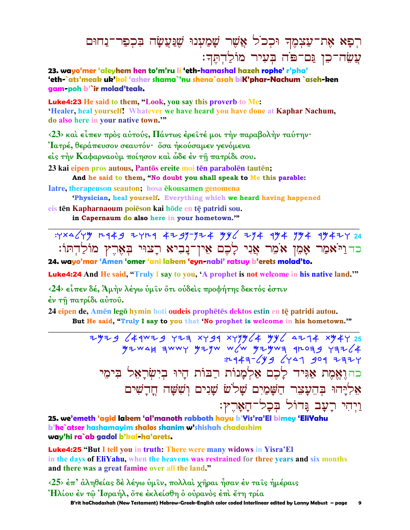# רִפָּא אֶת־עַצִמֶךְ וּכִכ<sup>ֹ</sup>ל אֲשֶׁר שָׁמַעִנוּ שֵׁנַּעֲשָׂה בִּכְפַר־נַחוּם עֲשֶׂה־כֵן נֵּם־פֹּה בְּעָיר מוֹלַדְתֵּךְ:

23. wavo'mer 'aleyhem hen to'm'ru li 'eth-hamashal hazeh rophe' r'pha' 'eth-`ats'meak uk'kol 'asher shama`'nu shena`asah biK'phar-Nachum `aseh-ken gam-poh b'`ir molad'teak.

**Luke4:23** He said to them, "Look, you say this proverb to Me: 'Healer, heal yourself! Whatever we have heard you have done at Kaphar Nachum, do also here in your native town."

<23> και είπεν προς αύτούς, Πάντως έρειτέ μοι την παραβολήν ταύτην·

Ίατρέ, θεράπευσον σεαυτόν· ὄσα ήκούσαμεν γενόμενα

είς την Καφαρναούμ ποίησον και ώδε έν τη πατρίδι σου.

23 kai eipen pros autous, Pantōs ereite moi tēn parabolēn tautēn;

And he said to them, "No doubt you shall speak to Me this parable:

Iatre, therapeuson seauton; hosa ekousamen genomena

'Physician, heal yourself. Everything which we heard having happened

eis tēn Kapharnaoum poieson kai hōde en tē patridi sou. in Capernaum do also here in your hometown."

: YXA (Y + 1449 2YL4 4299-924 4y) 244 494 994 4942Y 24 כדוַיֹּאמַר אָמֶן אֹמֶר אֲנִי לָכֶם אֵין־נָבִיא רָצוּי בִּאָרֵץ מוֹלַדִתּוֹ:

24. wayo'mar 'Amen 'omer 'ani lakem 'eyn-nabi' ratsuy b'erets molad'to.

**Luke4:24** And He said, "Truly I say to you, 'A prophet is not welcome in his native land."

<24> είπεν δέ, Άμην λέγω ύμιν ότι ούδεις προφήτης δεκτός έστιν

έν τη πατρίδι αύτου.

24 eipen de, Amen lego hymin hoti oudeis prophetes dektos estin en te patridi autou. But He said, "Truly I say to you that 'No prophet is welcome in his hometown."

> 2929 (44WZ9 YZA XY99 XYYY(4 YY) AZ74 XY4Y 25  $y = y + 2y$ כהוֶאֱמֶת אַגִּיד לָכֶם אַלְמָנוֹת רַבּוֹת הַיוּ בִיִשׂראל בימי אליהו בחעצר חשמים שלש שנים וששה חדשים וַיִּהִי רָעָב גָּדוֹל בִּכְל־הָאָרֵץ:

25. we'emeth 'agid lakem 'al'manoth rabboth hayu b'Yis'ra'El bimey 'EliYahu b'he`atser hashamayim shalos shanim w'shishah chadashim way'hi ra`ab gadol b'kal-ha'arets.

**Luke4:25** "But I tell you in truth: There were many widows in Yisra'El in the days of EliYahu, when the heavens was restrained for three years and six months and there was a great famine over all the land."

<25> έπ' άληθείας δε λέγω ύμιν, πολλαί χήραι ήσαν έν ταις ήμέραις Ήλίου ἐν τῶ Ἰσραήλ, ὅτε ἐκλείσθη ὁ οὐρανὸς ἐπὶ ἔτη τρία

B'rit haChadashah (New Testament) Hebrew-Greek-English color coded Interlinear edited by Lanny Mebust - page  $\mathbf{9}$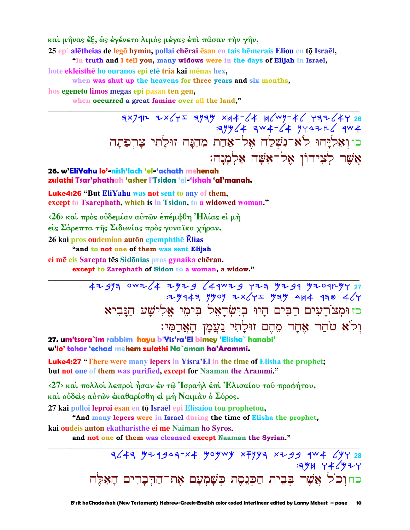καὶ μῆνας ἔξ, ὡς ἐγένετο λιμὸς μέγας ἐπὶ πᾶσαν τὴν γῆν,

25 ep' alētheias de legō hymin, pollai chērai ēsan en tais hēmerais Ēliou en tō Israēl,

"In truth and I tell you, many widows were in the days of Elijah in Israel,

hote ekleisthe ho ouranos epi ete tria kai menas hex,

when was shut up the heavens for three years and six months,

hōs egeneto limos megas epi pasan tēn gēn,

when occurred a great famine over all the land."

 $72974$  3x79h 3x64r 3yay xk4-64 k6wy-46 73264y כוןְאֵלְיָהוּ לֹא־נִשְׁלַח אֶל־אַחַת מֵהֵנָּה זוּלַתִי צַרִפַתַּה אֲשֶׁר לִצִידוֹן אָל־אָשֵׁה אַלְמַנַה:

### 26. w'EliYahu lo'-nish'lach 'el-'achath mehenah zulathi Tsar'phathah 'asher l'Tsidon 'el-'ishah 'al'manah.

**Luke4:26 "But EliYahu was not sent to any of them,** except to Tsarephath, which is in Tsidon, to a widowed woman."

<26> και πρός ούδεμίαν αύτων επέμφθη Ήλίας εί μή είς Σάρεπτα της Σιδωνίας πρός γυναίκα χήραν. 26 kai pros oudemian autōn epemphthē Ēlias

"and to not one of them was sent Elijah

ei mē eis Sarepta tēs Sidōnias pros gynaika chēran.

except to Zarephath of Sidon to a woman, a widow."

4297 0WZ (4 2429 (44WZ9 423 4294 4204LYY 27  $1.7$   $444$  3  $140$   $4 \times 12$   $44$   $444$   $430$   $4/4$ כז וּמְצֹרְעִים רַבִּים הָיוּ בְיִשְׂרָאֵל בִּימֵי אֱלִישָׁע הַנָּבִיא וְלֹא טֹהַר אֶחָד מֶהֶם זוּלַתִי נַעֲמָן הָאֲרַמִּי:

27. um'tsora`im rabbim havu b'Yis'ra'El bimey 'Elisha` hanabi' w'lo' tohar 'echad mehem zulathi Na`aman ha'Arammi.

**Luke4:27** "There were many lepers in Yisra'El in the time of Elisha the prophet; but not one of them was purified, except for Naaman the Arammi."

<27> και πολλοί λεπροί ήσαν έν τω Ίσραήλ έπι Έλισαίου του προφήτου, και ούδεις αύτων έκαθαρίσθη εί μή Ναιμάν ο Σύρος.

27 kai polloi leproi ēsan en tō Israēl epi Elisaiou tou prophētou,

"And many lepers were in Israel during the time of Elisha the prophet,

kai oudeis autōn ekatharisthē ei mē Naiman ho Syros.

and not one of them was cleansed except Naaman the Syrian."

 $76/47$   $y+19$   $47-x$   $y$   $o$   $y$   $w$   $y$   $x+y$   $y$   $x+19$   $y$   $4$   $y$   $y$   $y$   $z$  $:394$   $74$ /927 כחוכל אֲשֶׁר בְּבִית הַכִּנִסֶת כִּשָּׁמְעַם אֶת־הַדְּבַרִים הַאֵּלַּה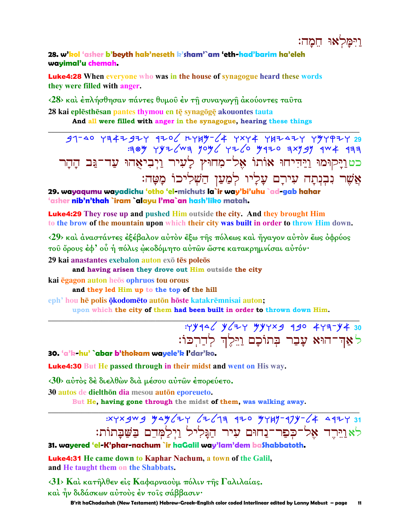וימלאוּ חמה:

### 28. w'kol 'asher b'beyth hak'neseth k'sham'`am 'eth-had'barim ha'eleh wayimal'u chemah.

**Luke4:28** When everyone who was in the house of synagogue heard these words they were filled with anger.

<28> και έπλήσθησαν πάντες θυμού έν τη συναγωγη άκούοντες ταύτα 28 kai eplēsthēsan pantes thymou en tē synagōgē akouontes tauta And all were filled with anger in the synagogue, hearing these things

 $91-40$   $194797$   $170$   $1749 4$   $10474$   $19747$   $199797$ :384 YYZ (W3 YO4 YZ (0 4470 3XY SY 4W 433 כטוַיָקוּמוּ וַיַּהִיחוּ אוֹתוֹ אֶל־מִחוּץ לָעִיר וַיִבִיאֲהוּ עַד־גַּב הָהָר אֲשֵׁר נִבְנִתָה עִירָם עָלָיו לִמַעַן הַשִּׁלִיכוֹ מָטָה:

29. wayaqumu wayadichu 'otho 'el-michuts la`ir way'bi'uhu `ad-gab hahar 'asher nib'n'thah `iram `alayu l'ma`an hash'liko matah.

**Luke4:29** They rose up and pushed Him outside the city. And they brought Him to the brow of the mountain upon which their city was built in order to throw Him down.

 $\langle 29 \rangle$  και άναστάντες έξέβαλον αύτον έξω της πόλεως και ήγαγον αύτον έως όφρύος του όρους έφ' ού ή πόλις ώκοδόμητο αύτων ώστε κατακρημνίσαι αύτόν·

29 kai anastantes exebalon auton exo tēs poleos

and having arisen they drove out Him outside the city

kai egagon auton heos ophruos tou orous

and they led Him up to the top of the hill

eph' hou hē polis ökodomēto autōn hōste katakrēmnisai auton;

upon which the city of them had been built in order to thrown down Him.

: 4446 y 2 4 30 4 4 4 30 לאַדְ־הוּא עָבַר בְּתוֹכָם וַיֵּלֶדְ לְדַרִכּוֹ:

30. 'a'k-hu' `abar b'thokam wayele'k l'dar'ko.

**Luke4:30** But He passed through in their midst and went on His way.

<30> αύτος δέ διελθών διά μέσου αύτων έπορεύετο.

30 autos de dielthōn dia mesou autōn eporeueto.

But He, having gone through the midst of them, was walking away.

# :xyxgwg yay (2 4 4 3 920 yyuy-97y- 4 4924 31 לאוייר אל־כִפַר־נַחוּם עִיר הַגַּלִיל וַיִלַמְּהֵם בַּשֵּׁבַתוֹת:

## 31. wayered 'el-K'phar-nachum `ir haGalil way'lam'dem baShabbatoth.

**Luke4:31** He came down to Kaphar Nachum, a town of the Galil, and He taught them on the Shabbats.

31> Καὶ κατῆλθεν εἰς Καφαρναοὺμ πόλιν τῆς Γαλιλαίας.

καὶ ἦν διδάσκων αὐτοὺς ἐν τοῖς σάββασιν·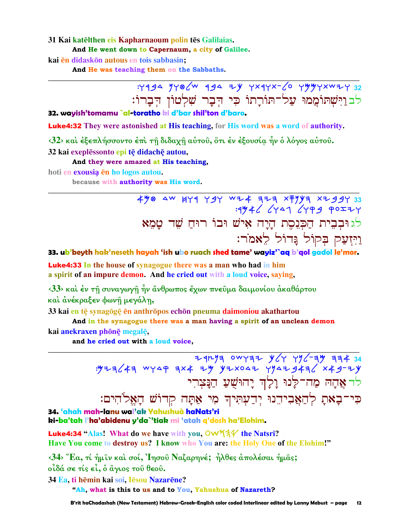### 31 Kai katēlthen eis Kapharnaoum polin tēs Galilaias. And He went down to Capernaum, a city of Galilee.

kai ēn didaskon autous en tois sabbasin:

And He was teaching them on the Sabbaths.

# : 1994 JYQ (W 994 ZY YX9YX- 6 YYYYXWZY 32 לבוַיִּשְׁתוֹמֲמוּ עֲל־תוֹרָתוֹ כִי הִבָר שָׁלְטוֹן הִבָרוֹ:

### 32. wayish'tomamu `al-toratho ki d'bar shil'ton d'baro.

**Luke4:32** They were astonished at His teaching, for His word was a word of authority.

 $\langle 32 \rangle$  και έξεπλήσσοντο έπι τη διδαχη αύτου, ότι έν έξουσία ήν ο λόγος αύτου.

32 kai exeplēssonto epi tē didachē autou,

### And they were amazed at His teaching,

hoti en exousia en ho logos autou.

because with authority was His word.

490 AW 144 Y94 WZ4 774 X7994 XZ994 לגוּבְבִית הַכְּנֵסֵת הַיַּה אָישׁ וּבוֹ רוּחַ שָׁר טַמֵא וַיִּזְעַק בִּקוֹל גֵּדוֹל לֵאמֹר:

33. ub'beyth hak'neseth hayah 'ish ubo ruach shed tame' wayiz'`aq b'qol gadol le'mor.

**Luke4:33** In the house of synagogue there was a man who had in him a spirit of an impure demon. And he cried out with a loud voice, saying,

 $\langle 33 \rangle$  και έν τη συναγωγη ήν άνθρωπος έχων πνευμα δαιμονίου ακαθάρτου και ανέκραξεν φωνή μεγάλη,

33 kai en tē synagōgē ēn anthrōpos echōn pneuma daimoniou akathartou

And in the synagogue there was a man having a spirit of an unclean demon

kai anekraxen phōnē megalē,

and he cried out with a loud voice.

 $7474$  owyaz y (y y)  $-7$  ay and so : y z = < k = w y a + x + x y y z x 0 a + y y a + 3 x + 3 - z y לר אֲהָה מַה־לַנוּ וַלַ<sup>וְ</sup>ד יַהוּשָׁעַ הַנַּצִרִי כִּי־בָאתָ לְהַאֲבִידֵנוּ יְדַעְתִּיךָ מִי אַתָּה קְדוֹשׁ הָאֱלֹהִים:

34. 'ahah mah-lanu wal'ak Yahushuà haNats'ri ki-ba'tah l'ha'abidenu y'da`'tiak mi 'atah g'dosh ha'Elohim.

**Luke4:34 "Alas!** What do we have with you,  $\text{OW44}$  the Natsri? Have You come to destroy us? I know who You are: the Holy One of the Elohim!"

 $\langle 34 \rangle$  "Ea, τί ήμιν καί σοί, Ίησου Ναζαρηνέ; ήλθες άπολέσαι ήμας; οἶδά σε τίς εἶ, ὁ ἅγιος τοῦ θεοῦ.

34 Ea, ti hēmin kai soi, Iēsou Nazarēne?

"Ah, what is this to us and to You, Yahushua of Nazareth?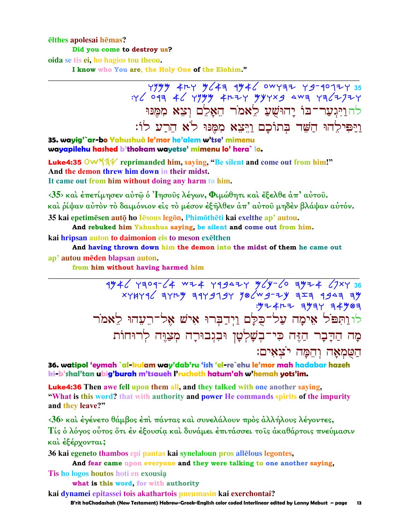#### elthes apolesai hemas? Did you come to destroy us?

oida se tis ei, ho hagios tou theou.

I know who You are, the Holy One of the Elohim."

 $7779$  + 2 + 4 + 494 + 494 + 494 + 494 + 494 + 494 + 494 + 494 + 494 + 494 + 494 + 494 + 494 + 494 + 494 + 494 + 494 + 494 + 494 + 494 + 494 + 494 + 494 + 494 + 494 + 494 + 494 + 494 + 494 + 494 + 494 + 494 + 494 + 494 + לה<u>ויגער־בו יהושע לאמר האלם וצא ממנו</u> וַיַּפִּילֵהוּ הַשָּׁד בְּתוֹכָם וַיֵּצֵא מִמֵּנּוּ לֹא הֵרֵע לוֹ:

35. wayig'`ar-bo Yahushuà le'mor he'alem w'tse' mimenu wayapilehu hashed b'thokam wayetse' mimenu lo' hera` lo.

Luke4:35 OW 53/ reprimanded him, saying, "Be silent and come out from him!" And the demon threw him down in their midst. It came out from him without doing any harm to him.

 $\langle 35 \rangle$  και έπετίμησεν αύτω ο 'Iησους λέγων, Φιμώθητι και έξελθε άπ' αύτου. και ρίψαν αύτον το δαιμόνιον είς το μέσον εξήλθεν άπ' αύτου μηδεν βλάψαν αύτόν. 35 kai epetimēsen autō ho Iēsous legōn, Phimōthēti kai exelthe ap' autou.

And rebuked him Yahushua saying, be silent and come out from him.

kai hripsan auton to daimonion eis to meson exelthen

And having thrown down him the demon into the midst of them he came out ap' autou mēden blapsan auton.

from him without having harmed him

 $4\frac{1}{4}$  and  $3\frac{1}{4}$  and  $3\frac{1}{4}$   $4\frac{1}{4}$  and  $3\frac{1}{4}$  and  $4\frac{1}{4}$  and  $4\frac{1}{4}$  and  $4\frac{1}{4}$  and  $4\frac{1}{4}$  and  $4\frac{1}{4}$  and  $4\frac{1}{4}$  and  $4\frac{1}{4}$  and  $4\frac{1}{4}$  and  $4\frac{1}{4}$  and  $4\frac{1}{4}$  and  $: 7 + 4 + 7 = 3$ לווַתִּפֹּל אֵימָה עַל־כֻלָּם וַיִּדַבְּרוּ אִישׁ אֵל־רֵעֲהוּ לֵאמֹר מָה הַדַּבָר הַזֶּה כִּי־בִשָׁלְטָן וּבְגִבוּרָה מִצַיֵּה לְרוּחוֹת הַטְמְאָה וְהֶמַּה יֹצְאָים:

36. watipol 'eymah `al-kulam way'dab'ru 'ish 'el-re`ehu le'mor mah hadabar hazeh ki-b'shal'tan ubig'burah m'tsaueh Pruchoth hatum'ah w'hemah yots'im.

**Luke4:36** Then awe fell upon them all, and they talked with one another saying, "What is this word? that with authority and power He commands spirits of the impurity and they leave?"

 $\langle 36 \rangle$  και έγένετο θάμβος έπι πάντας και συνελάλουν προς άλλήλους λέγοντες, Τίς ο λόγος ούτος ότι έν έξουσία και δυνάμει έπιτάσσει τοις ακαθάρτοις πνεύμασιν και έξέρχονται;

36 kai egeneto thambos epi pantas kai synelaloun pros allelous legontes, And fear came upon everyone and they were talking to one another saying,

Tis ho logos houtos hoti en exousia

what is this word, for with authority

kai dynamei epitassei tois akathartois pneumasin kai exerchontai?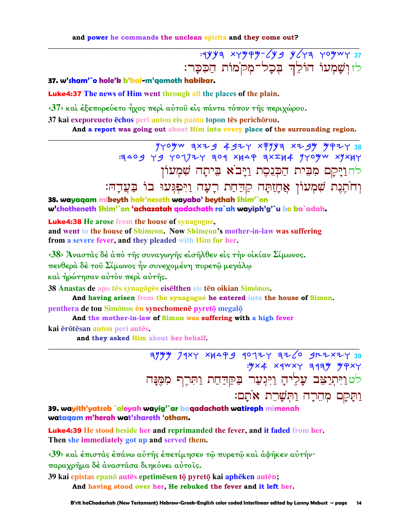: 1943 xympm-649 y643 yomwy 37 לזוְשָׁמְעוֹ הוֹלֵךְ בְּכָל־מְקֹמוֹת הַכִּכָּר:

37. w'sham'`o hole'k b'kal-m'qomoth hakikar.

**Luke4:37** The news of Him went through all the places of the plain.

 $\langle 37 \rangle$  και έξεπορεύετο ήχος περι αύτου είς πάντα τόπον της περιχώρου.

37 kai exeporeueto echos peri autou eis panta topon tes perichorou.

And a report was going out about Him into every place of the surrounding region.

 $440$  yyo yw axag 4g 2 x + yy x + yy y y + 2 38 E 209 Y9 YO172Y 309 XHAP 3XIH4 YYOYW XYXHY לחוַיָּקָם מִבִּית הַכְּנֵסֶת וַיָּב<sup>ֹ</sup>א בִּיתָה שִׁמְעוֹן

וְחֹתֵנֵת שִׁמְעוֹן אֲחָזַתָּה קַרַחַת רָעָה וַיִּפְגְּעוּ בוֹ בַּעֲדָהּ:

38. wayaaam mibeyth hak'neseth wayabo' beythah Shim'`on w'chotheneth Shim'`on 'achazatah qadachath ra`ah wayiph'g'`u bo ba`adah.

**Luke4:38** He arose from the house of synagogue,

and went to the house of Shimeon. Now Shimeon's mother-in-law was suffering from a severe fever, and they pleaded with Him for her.

 $\langle 38 \rangle$  Άναστάς δέ άπό της συναγωγής είσηλθεν είς την οικίαν Σίμωνος.

πενθερά δέ του Σίμωνος ήν συνεχομένη πυρετώ μεγάλω

και ήρώτησαν αύτον περι αύτης.

38 Anastas de apo tēs synagōgēs eisēlthen eis tēn oikian Simōnos.

And having arisen from the synagogue he entered into the house of Simon.

penthera de tou Simonos en synechomene pyreto megalo

And the mother-in-law of Simon was suffering with a high fever

kai ērōtēsan auton peri autēs.

and they asked Him about her behalf.

 $74$   $74$   $Y$   $X$   $A$   $A$   $B$   $A$   $C$   $B$   $A$   $C$   $C$   $B$   $A$   $X$   $B$   $C$   $C$   $D$   $A$   $X$   $C$   $D$   $C$  $\frac{1}{2}$   $\frac{1}{2}$   $\frac{1}{2}$   $\frac{1}{2}$   $\frac{1}{2}$   $\frac{1}{2}$   $\frac{1}{2}$   $\frac{1}{2}$   $\frac{1}{2}$   $\frac{1}{2}$   $\frac{1}{2}$   $\frac{1}{2}$   $\frac{1}{2}$   $\frac{1}{2}$   $\frac{1}{2}$   $\frac{1}{2}$   $\frac{1}{2}$   $\frac{1}{2}$   $\frac{1}{2}$   $\frac{1}{2}$   $\frac{1}{2}$   $\frac{1}{2}$  לט וַיִּתְיַצִּב עָלִיהָ וַיִּגְעַר בַּקַדַחַת וַתְּרֵף מִמֵּנַה <u>ותַקָם מְהֶרָה וַתְּשָׁרֶת אֹתָם:</u>

39. wayith'yatseb `aleyah wayig'`ar baqadachath watireph mimenah wataaam m'herah wat'shareth 'otham.

Luke4:39 He stood beside her and reprimanded the fever, and it faded from her. Then she immediately got up and served them.

<39> και έπιστας έπάνω αυτής επετίμησεν τω πυρετω και αφήκεν αυτήν· παραχρήμα δέ άναστασα διηκόνει αύτοις.

39 kai epistas epanō autēs epetimēsen tō pyretō kai aphēken autēn; And having stood over her. He rebuked the fever and it left her.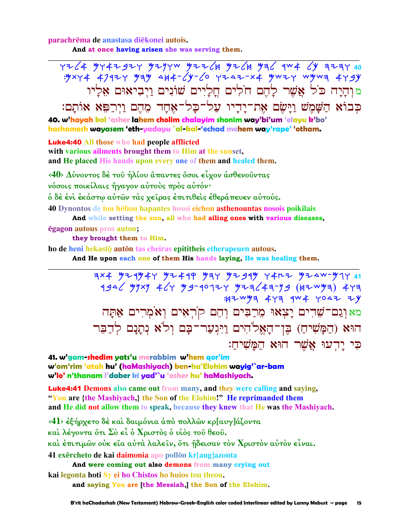parachrēma de anastasa diēkonei autois.

And at once having arisen she was serving them.

 $7764$  9747927 9297w 92264 9264 936 944 69 3237 40 : yxy 4 4792 y yay 414 - 2y - 20 y 242 - x 4 y w 2 y wywa 4 y gy מוִהָיָה כֹּל אֲשֶׁר לַהֵם חֹלִים חֲלַיִים שׁוֹנִים ויביאוּם אליו כְּבוֹא הַשָּׁמָשׁ וַיָּשָׂם אֶת־יָדִיו עַל־כַל־אָחַד מֵהֵם וַיִרַפֵּא אוֹתַם: 40. w'hayah kol 'asher lahem cholim chalayim shonim way'bi'um 'elayu k'bo' hashamesh wayasem 'eth-yadayu `al-kal-'echad mehem way'rape' 'otham.

**Luke4:40 All those who had people afflicted** with various ailments brought them to Him at the sunset.

and He placed His hands upon every one of them and healed them.

<40> Δύνοντος δέ του ήλίου άπαντες όσοι είχον άσθενουντας

νόσοις ποικίλαις ήγαγον αύτους προς αύτόν·

ό δὲ ἐνὶ ἐκάστῳ αὐτῶν τὰς χεῖρας ἐπιτιθεὶς ἐθεράπευεν αὐτούς.

40 Dynontos de tou heliou hapantes hosoi eichon asthenountas nosois poikilais

And while setting the sun, all who had ailing ones with various diseases,

**ēgagon autous pros auton;** 

they brought them to Him.

ho de heni hekastō autōn tas cheiras epititheis etherapeuen autous.

And He upon each one of them His hands laying, He was healing them.

 $7 \times 4$   $9$ 2  $4$ 9  $4$ 2  $4$   $9$   $9$   $9$   $1$   $9$   $1$   $9$   $1$   $9$   $1$   $1$   $1$   $1$   $1$   $1$   $1$   $1$   $1$  $4946$  334 464 33-40124 3244739 (42 43) 477 :HZWYA 447 4W 4 4042 ZY מאוְנֵם־שָׁדִים יָצָאוּ מִרַבִּים וְהֵם קֹרְאִים וְאֹמְרִים אַתָּה הוּא (הַמָּשִׁיהַ) בֵּן־הָאֱלֹהִים וַיִּגִעַר־בָּם וְלֹא נִתֲנָם לְדַבֵּר כִּי יַדְעוּ אֲשֶׁר הוּא הַמַּשִׁיחַ:

41. w'gam-shedim yats'u merabbim w'hem gor'im w'om'rim 'atah hu' (haMashiyach) ben-ha'Elohim wayig'`ar-bam w'lo' n'thanam l'daber ki yad'`u 'asher hu' haMashiyach.

**Luke4:41 Demons also came out from many, and they were calling and saying,** "You are {the Mashiyach,} the Son of the Elohim!" He reprimanded them and He did not allow them to speak, because they knew that He was the Mashiyach.

<41> έξήρχετο δέ και δαιμόνια άπο πολλών κρ[αυγ]άζοντα

και λέγοντα ὅτι Συ εί ο Χριστος ο υίος του θεου.

καὶ ἐπιτιμῶν οὐκ εἴα αὐτὰ λαλεῖν, ὅτι ἤδεισαν τὸν Χριστὸν αὐτὸν εἶναι.

41 exercheto de kai daimonia apo pollon kr[aug]azonta

And were coming out also demons from many crying out

kai legonta hoti Sy ei ho Chistos ho huios tou theou.

and saying You are [the Messiah.] the Son of the Elohim.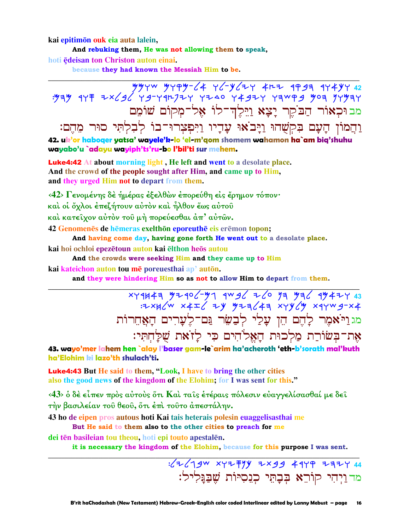kai epitimon ouk eia auta lalein,

And rebuking them, He was not allowing them to speak,

hoti edeisan ton Christon auton einai.

because they had known the Messiah Him to be.

22 74747 1934 4542 4574 4674 4674 4744 4744<br>3434 7449 9444 7444 4547 4644 74447-47 367×4 1745 454. מב וּכִאוֹר הַבֹקֵר יַצָא וַיֵּלֶדְ־לוֹ אָל־מִקוֹם שׁוֹמֶם וַהֲמוֹן הָעָם בִּקְשָׁהוּ וַיָּבֹאוּ עָדָיו וַיִּפִצְרוּ־בוֹ לִבְלְתִּי סוּר מֵהֵם: 42. uk'or haboger yatsa' wayele'k-lo 'el-m'gom shomem wahamon ha`am bia'shuhu wayabo'u `adayu wayiph'ts'ru-bo l'bil'ti sur mehem.

**Luke4:42** At about morning light, He left and went to a desolate place. And the crowd of the people sought after Him, and came up to Him, and they urged Him not to depart from them.

<42> Γενομένης δε ήμέρας εξελθών επορεύθη είς έρημον τόπον· καὶ οἱ ὄχλοι ἐπεζήτουν αὐτὸν καὶ ἦλθον ἕως αὐτοῦ καί κατείχον αύτον του μή πορεύεσθαι άπ' αύτων.

42 Genomenes de hemeras exelthon eporeuthe eis eremon topon;

And having come day, having gone forth He went out to a desolate place.

kai hoi ochloi epezētoun auton kai elthon heos autou

And the crowds were seeking Him and they came up to Him

kai kateichon auton tou mē poreuesthai ap' autōn.

and they were hindering Him so as not to allow Him to depart from them.

xyqu4a yzqo 'y qwg 26 ya ya qy4zy 43<br>= xxq xx x4z xy yza 4a xyy y xqywg-x4 מגוי אמר להם הו עלי לבשר גם־לערים האחרות אַת־בִּשׂוֹרֵת מַלְכוּת הַאֲלֹהִים כִּי לַזֹאת שַׁלַּחְתִּי:

43. wayo'mer lahem hen `alay l'baser gam-le`arim ha'acheroth 'eth-b'sorath mal'kuth ha'Elohim ki lazo'th shulach'ti.

Luke4:43 But He said to them, "Look, I have to bring the other cities also the good news of the kingdom of the Elohim; for I was sent for this."

<43> ο δέ είπεν πρός αύτους ότι Και ταις έτέραις πόλεσιν ευαγγελίσασθαί με δει την βασιλείαν του θεου, ότι έπι τουτο άπεστάλην.

43 ho de eipen pros autous hoti Kai tais heterais polesin euaggelisasthai me

But He said to them also to the other cities to preach for me

dei tēn basileian tou theou, hoti epi touto apestalēn.

it is necessary the kingdom of the Elohim, because for this purpose I was sent.

 $\frac{1}{2}$   $\sqrt{790}$  xyz = 14 + x 39 + 44 + 23 + 44 מד וַיְהִי קוֹרֵא בְּבָתֵי כְגֵסִיּוֹת שֵׁבַּגַּלִיל: